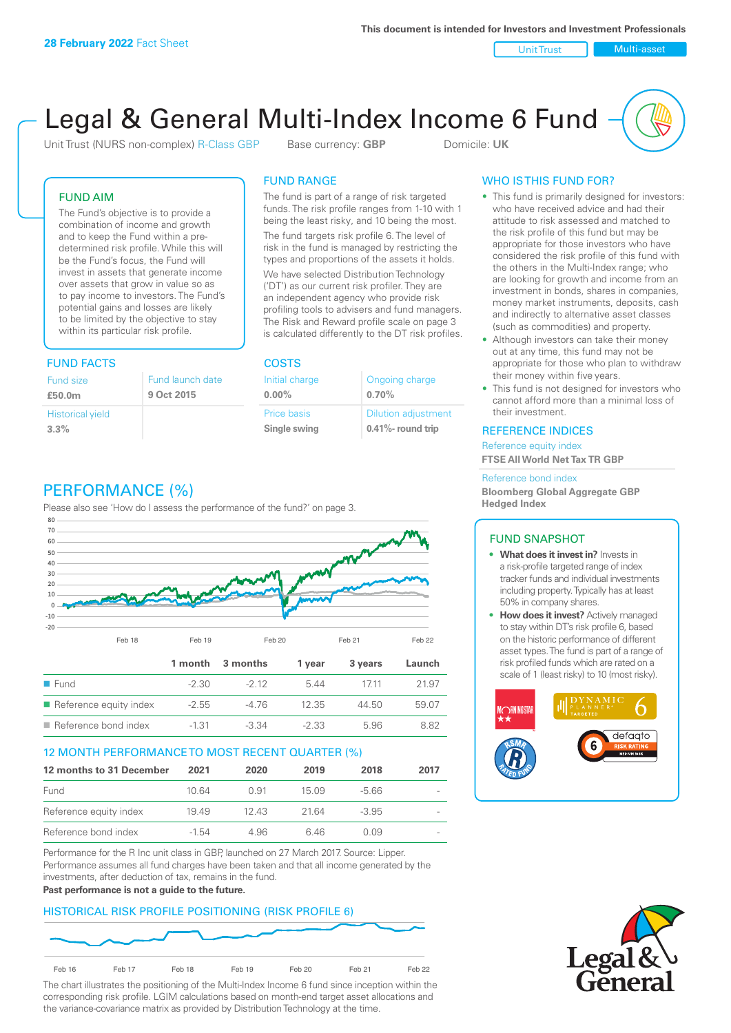Unit Trust Nulti-asset

# Legal & General Multi-Index Income 6 Fund

Unit Trust (NURS non-complex) R-Class GBP Base currency: **GBP** Domicile: UK

# FUND AIM

The Fund's objective is to provide a combination of income and growth and to keep the Fund within a predetermined risk profile. While this will be the Fund's focus, the Fund will invest in assets that generate income over assets that grow in value so as to pay income to investors. The Fund's potential gains and losses are likely to be limited by the objective to stay within its particular risk profile.

# FUND FACTS COSTS

| Fund size                       | Fund launch date |
|---------------------------------|------------------|
| £50.0m                          | 9 Oct 2015       |
| <b>Historical yield</b><br>3.3% |                  |

# FUND RANGE

The fund is part of a range of risk targeted funds. The risk profile ranges from 1-10 with 1 being the least risky, and 10 being the most.

The fund targets risk profile 6. The level of risk in the fund is managed by restricting the types and proportions of the assets it holds. We have selected Distribution Technology ('DT') as our current risk profiler. They are an independent agency who provide risk profiling tools to advisers and fund managers. The Risk and Reward profile scale on page 3 is calculated differently to the DT risk profiles.

**0.00%**

| Initial charge | Ongoing charge             |
|----------------|----------------------------|
| $0.00\%$       | 0.70%                      |
| Price basis    | <b>Dilution adjustment</b> |
| Single swing   | 0.41%- round trip          |

# PERFORMANCE (%)

Please also see 'How do I assess the performance of the fund?' on page 3.



# 12 MONTH PERFORMANCE TO MOST RECENT QUARTER (%)

| 12 months to 31 December | 2021  | 2020  | 2019   | 2018    | 2017 |
|--------------------------|-------|-------|--------|---------|------|
| Fund                     | 10.64 | O 91  | 15 0.9 | -5.66   |      |
| Reference equity index   | 1949  | 12.43 | 21.64  | $-3.95$ |      |
| Reference bond index     | -1.54 | 4.96  | 646    | O O.9   |      |

Performance for the R Inc unit class in GBP, launched on 27 March 2017. Source: Lipper. Performance assumes all fund charges have been taken and that all income generated by the investments, after deduction of tax, remains in the fund.

#### **Past performance is not a guide to the future.**

# HISTORICAL RISK PROFILE POSITIONING (RISK PROFILE 6)



The chart illustrates the positioning of the Multi-Index Income 6 fund since inception within the corresponding risk profile. LGIM calculations based on month-end target asset allocations and the variance-covariance matrix as provided by Distribution Technology at the time.

# WHO IS THIS FUND FOR?

- This fund is primarily designed for investors: who have received advice and had their attitude to risk assessed and matched to the risk profile of this fund but may be appropriate for those investors who have considered the risk profile of this fund with the others in the Multi-Index range; who are looking for growth and income from an investment in bonds, shares in companies, money market instruments, deposits, cash and indirectly to alternative asset classes (such as commodities) and property.
- Although investors can take their money out at any time, this fund may not be appropriate for those who plan to withdraw their money within five years.
- This fund is not designed for investors who cannot afford more than a minimal loss of their investment.

# REFERENCE INDICES

Reference equity index **FTSE All World Net Tax TR GBP**

#### Reference bond index

**Bloomberg Global Aggregate GBP Hedged Index**

### FUND SNAPSHOT

- **• What does it invest in?** Invests in a risk-profile targeted range of index tracker funds and individual investments including property. Typically has at least 50% in company shares.
- **• How does it invest?** Actively managed to stay within DT's risk profile 6, based on the historic performance of different asset types. The fund is part of a range of risk profiled funds which are rated on a scale of 1 (least risky) to 10 (most risky).



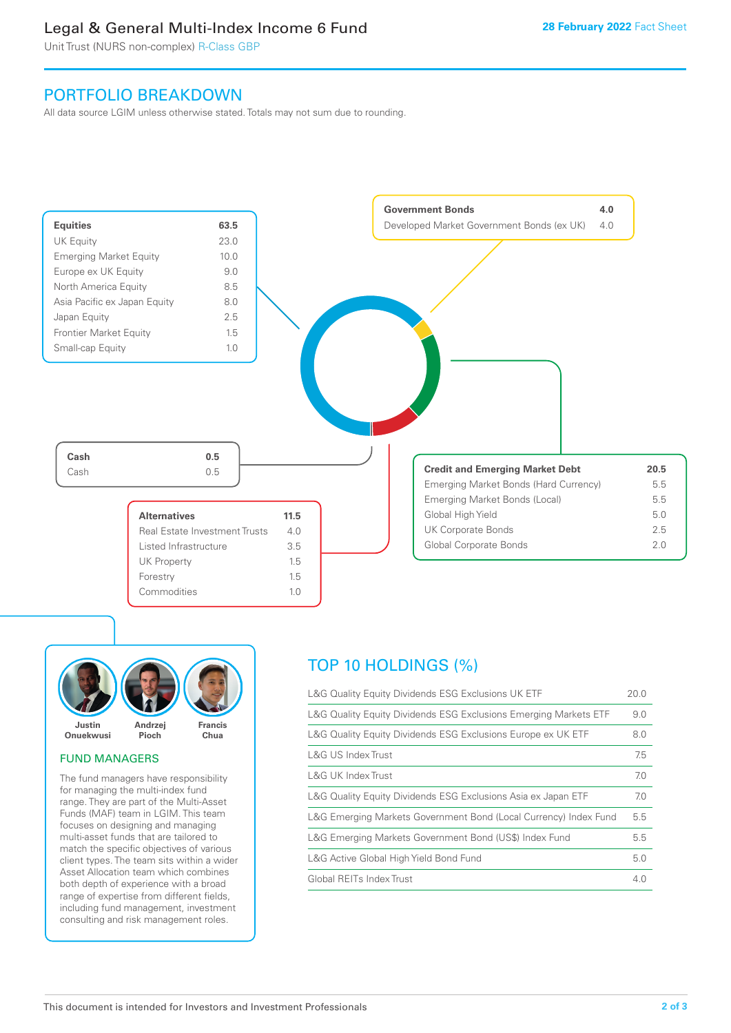# Legal & General Multi-Index Income 6 Fund

Unit Trust (NURS non-complex) R-Class GBP

# PORTFOLIO BREAKDOWN

All data source LGIM unless otherwise stated. Totals may not sum due to rounding.





# FUND MANAGERS

The fund managers have responsibility for managing the multi-index fund range. They are part of the Multi-Asset Funds (MAF) team in LGIM. This team focuses on designing and managing multi-asset funds that are tailored to match the specific objectives of various client types. The team sits within a wider Asset Allocation team which combines both depth of experience with a broad range of expertise from different fields, including fund management, investment consulting and risk management roles.

# TOP 10 HOLDINGS (%)

| L&G Quality Equity Dividends ESG Exclusions UK ETF               | 20.0 |
|------------------------------------------------------------------|------|
| L&G Quality Equity Dividends ESG Exclusions Emerging Markets ETF | 9.0  |
| L&G Quality Equity Dividends ESG Exclusions Europe ex UK ETF     | 8.0  |
| L&G US Index Trust                                               | 7.5  |
| L&G UK Index Trust                                               | 7.0  |
| L&G Quality Equity Dividends ESG Exclusions Asia ex Japan ETF    | 7.0  |
| L&G Emerging Markets Government Bond (Local Currency) Index Fund | 5.5  |
| L&G Emerging Markets Government Bond (US\$) Index Fund           | 5.5  |
| L&G Active Global High Yield Bond Fund                           | 5.0  |
| Global REITs Index Trust                                         | 4.0  |